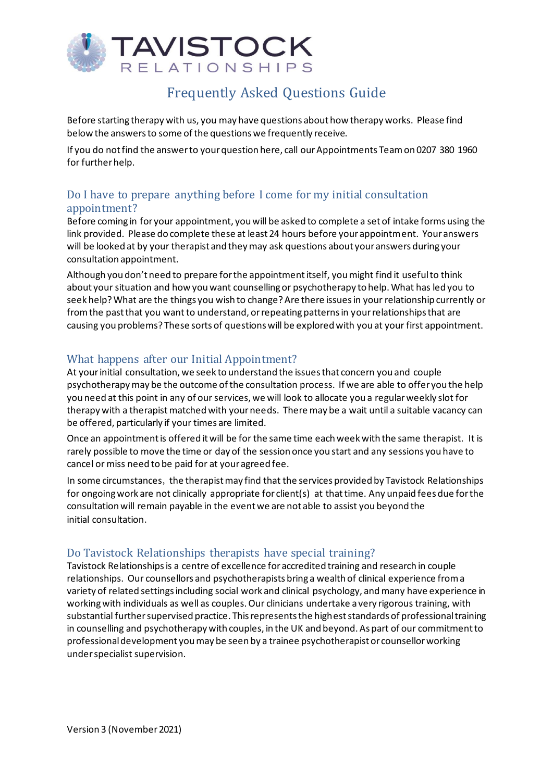

# Frequently Asked Questions Guide

Before starting therapy with us, you may have questions about how therapy works. Please find below the answers to some of the questions we frequently receive.

If you do not find the answer to your question here, call our Appointments Team on 0207 380 1960 for further help.

## Do I have to prepare anything before I come for my initial consultation appointment?

Before coming in for your appointment, you will be asked to complete a set of intake forms using the link provided. Please do complete these at least 24 hours before your appointment. Your answers will be looked at by your therapist and they may ask questions about your answers during your consultation appointment.

Although you don't need to prepare for the appointment itself, you might find it useful to think about your situation and how you want counselling or psychotherapy to help. What has led you to seek help? What are the things you wish to change? Are there issues in your relationship currently or from the past that you want to understand, or repeating patterns in your relationships that are causing you problems? These sorts of questions will be explored with you at your first appointment.

## What happens after our Initial Appointment?

At your initial consultation, we seek to understand the issues that concern you and couple psychotherapy may be the outcome of the consultation process. If we are able to offer you the help you need at this point in any of our services, we will look to allocate you a regular weekly slot for therapy with a therapist matched with your needs. There may be a wait until a suitable vacancy can be offered, particularly if your times are limited.

Once an appointment is offered it will be for the same time each week with the same therapist. It is rarely possible to move the time or day of the session once you start and any sessions you have to cancel or miss need to be paid for at your agreed fee.

In some circumstances, the therapist may find that the services provided by Tavistock Relationships for ongoing work are not clinically appropriate for client(s) at that time. Any unpaid fees due for the consultation will remain payable in the event we are not able to assist you beyond the initial consultation.

## Do Tavistock Relationships therapists have special training?

Tavistock Relationships is a centre of excellence for accredited training and research in couple relationships. Our counsellors and psychotherapists bring a wealth of clinical experience from a variety of related settings including social work and clinical psychology, and many have experience in working with individuals as well as couples. Our clinicians undertake a very rigorous training, with substantial further supervised practice. This represents the highest standards of professional training in counselling and psychotherapy with couples, in the UK and beyond. As part of our commitment to professional development you may be seen by a trainee psychotherapist or counsellor working under specialist supervision.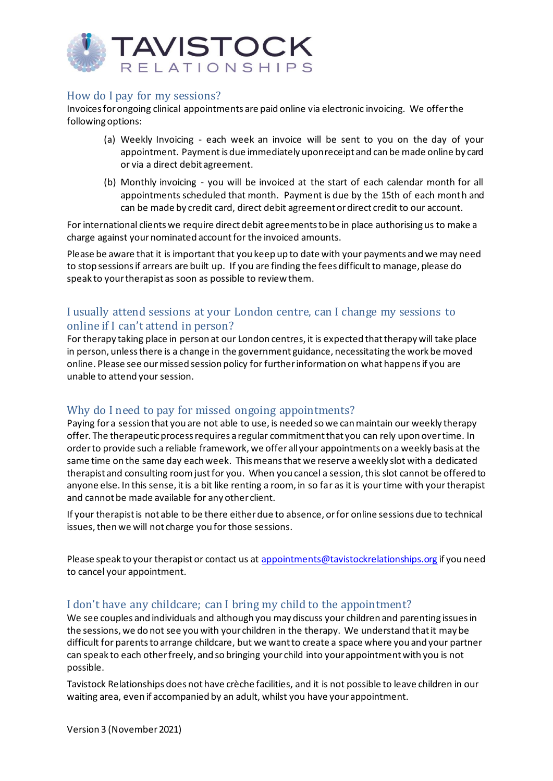

#### How do I pay for my sessions?

Invoices for ongoing clinical appointments are paid online via electronic invoicing. We offer the following options:

- (a) Weekly Invoicing each week an invoice will be sent to you on the day of your appointment. Payment is due immediately upon receipt and can be made online by card or via a direct debit agreement.
- (b) Monthly invoicing you will be invoiced at the start of each calendar month for all appointments scheduled that month. Payment is due by the 15th of each month and can be made by credit card, direct debit agreement or direct credit to our account.

For international clients we require direct debit agreements to be in place authorising us to make a charge against your nominated account for the invoiced amounts.

Please be aware that it is important that you keep up to date with your payments and we may need to stop sessions if arrears are built up. If you are finding the fees difficult to manage, please do speak to your therapist as soon as possible to review them.

## I usually attend sessions at your London centre, can I change my sessions to online if I can't attend in person?

For therapy taking place in person at our London centres, it is expected that therapy will take place in person, unless there is a change in the government guidance, necessitating the work be moved online. Please see our missed session policy for further information on what happens if you are unable to attend your session.

## Why do I need to pay for missed ongoing appointments?

Paying for a session that you are not able to use, is needed so we can maintain our weekly therapy offer. The therapeutic process requires a regular commitment that you can rely upon over time. In order to provide such a reliable framework, we offer all your appointments on a weekly basis at the same time on the same day each week. This means that we reserve a weekly slot with a dedicated therapist and consulting room just for you. When you cancel a session, this slot cannot be offered to anyone else. In this sense, it is a bit like renting a room, in so far as it is your time with your therapist and cannot be made available for any other client.

If your therapist is not able to be there either due to absence, or for online sessions due to technical issues, then we will not charge you for those sessions.

Please speak to your therapist or contact us at appointments@tavistockrelationships.org if you need to cancel your appointment.

## I don't have any childcare; can I bring my child to the appointment?

We see couples and individuals and although you may discuss your children and parenting issues in the sessions, we do not see you with your children in the therapy. We understand that it may be difficult for parents to arrange childcare, but we want to create a space where you and your partner can speak to each other freely, and so bringing your child into your appointment with you is not possible.

Tavistock Relationships does not have crèche facilities, and it is not possible to leave children in our waiting area, even if accompanied by an adult, whilst you have your appointment.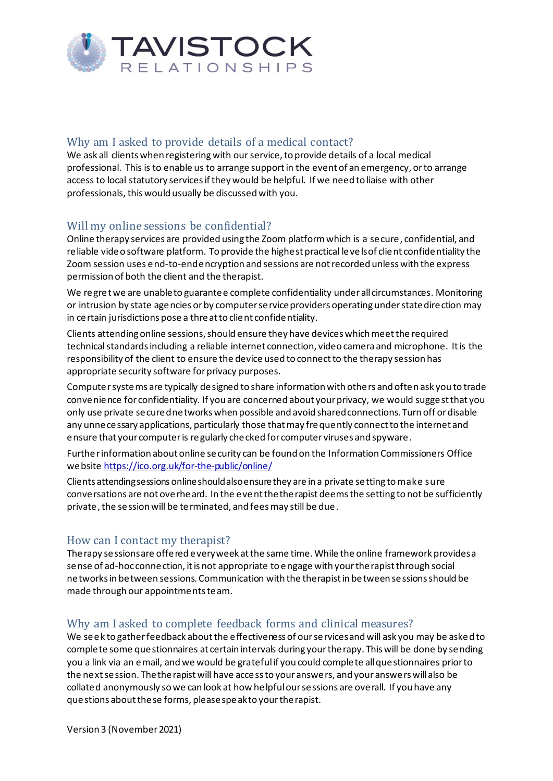

## Why am I asked to provide details of a medical contact?

We ask all clients when registering with our service, to provide details of a local medical professional. This is to enable us to arrange support in the event of an emergency, or to arrange access to local statutory services if they would be helpful. If we need to liaise with other professionals, this would usually be discussed with you.

## Will my online sessions be confidential?

Online therapy services are provided using the Zoom platform which is a secure, confidential, and reliable video software platform. To provide the highest practical levelsof client confidentiality the Zoom session uses end-to-endencryption and sessions are not recorded unless with the express permission of both the client and the therapist.

We regret we are unable to guarantee complete confidentiality under all circumstances. Monitoring or intrusion by state agencies orby computerservice providers operatingunderstatedirection may in certain jurisdictions pose a threat to client confidentiality.

Clients attending online sessions, should ensure they have devices which meet the required technical standards including a reliable internet connection, video camera and microphone. It is the responsibility of the client to ensure the device used to connect to the therapy session has appropriate security software for privacy purposes.

Computersystems are typically designed to share information with others and often ask you to trade convenience for confidentiality. If you are concerned about yourprivacy, we would suggest that you only use private securednetworks when possible and avoid sharedconnections. Turn off or disable any unne ce ssary applications, particularly those that may frequently connect to the internet and ensure that your computeris regularly checked for computer viruses and spyware.

Furtherinformation about online security can be found on the Information Commissioners Office website https://ico.org.uk/for-the-public/online/

Clients attending sessions online should also ensure they are in a private setting tomake sure conversations are not overheard. In the eventthetherapist deemsthe setting to not be sufficiently private, the session will be terminated, and fees may still be due.

## How can I contact my therapist?

Therapy sessionsare offered everyweek atthe same time.While the online framework providesa sense of ad-hoc connection, it is not appropriate to engage with your the rapist through social networks in between sessions. Communication with the therapistin between sessionsshould be made through our appointments team.

## Why am I asked to complete feedback forms and clinical measures?

We seek to gather feedback about the effectiveness of our services and will ask you may be asked to complete some questionnaires at certain intervals during yourtherapy. This will be done by sending you a link via an email, and we would be gratefulif you could complete all questionnaires priorto the next session. The the rapist will have access to your answers, and your answers will also be collated anonymously sowe can look at how helpfuloursessions are overall. If you have any questions aboutthese forms, please speakto yourtherapist.

Version 3 (November 2021)